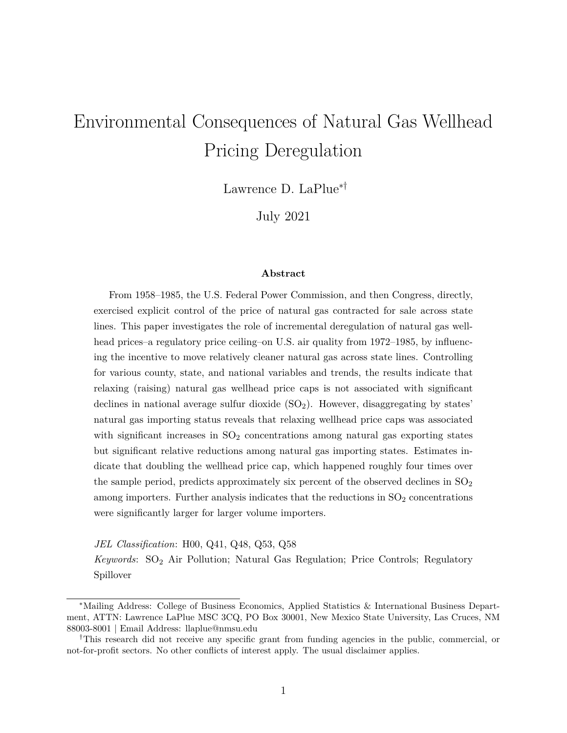## Environmental Consequences of Natural Gas Wellhead Pricing Deregulation

Lawrence D. LaPlue∗†

July 2021

## **Abstract**

From 1958–1985, the U.S. Federal Power Commission, and then Congress, directly, exercised explicit control of the price of natural gas contracted for sale across state lines. This paper investigates the role of incremental deregulation of natural gas wellhead prices–a regulatory price ceiling–on U.S. air quality from 1972–1985, by influencing the incentive to move relatively cleaner natural gas across state lines. Controlling for various county, state, and national variables and trends, the results indicate that relaxing (raising) natural gas wellhead price caps is not associated with significant declines in national average sulfur dioxide  $(SO<sub>2</sub>)$ . However, disaggregating by states' natural gas importing status reveals that relaxing wellhead price caps was associated with significant increases in  $SO_2$  concentrations among natural gas exporting states but significant relative reductions among natural gas importing states. Estimates indicate that doubling the wellhead price cap, which happened roughly four times over the sample period, predicts approximately six percent of the observed declines in  $SO_2$ among importers. Further analysis indicates that the reductions in  $SO<sub>2</sub>$  concentrations were significantly larger for larger volume importers.

*JEL Classification*: H00, Q41, Q48, Q53, Q58

*Keywords*: SO<sup>2</sup> Air Pollution; Natural Gas Regulation; Price Controls; Regulatory Spillover

<sup>∗</sup>Mailing Address: College of Business Economics, Applied Statistics & International Business Department, ATTN: Lawrence LaPlue MSC 3CQ, PO Box 30001, New Mexico State University, Las Cruces, NM 88003-8001 | Email Address: llaplue@nmsu.edu

<sup>†</sup>This research did not receive any specific grant from funding agencies in the public, commercial, or not-for-profit sectors. No other conflicts of interest apply. The usual disclaimer applies.